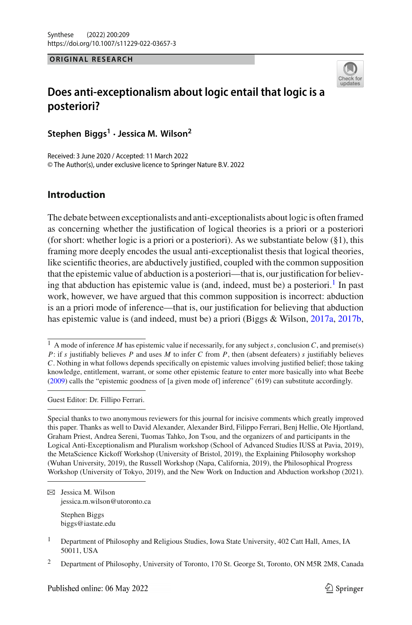#### **ORIGINAL RESEARCH ORIGINAL RESEARCH**



# **Does anti-exceptionalism about logic entail that logic is a posteriori?**

**Stephen Biggs<sup>1</sup> · Jessica M. Wilson<sup>2</sup>**

Received: 3 June 2020 / Accepted: 11 March 2022 © The Author(s), under exclusive licence to Springer Nature B.V. 2022

## **Introduction**

The debate between exceptionalists and anti-exceptionalists about logic is often framed as concerning whether the justification of logical theories is a priori or a posteriori (for short: whether logic is a priori or a posteriori). As we substantiate below (§1), this framing more deeply encodes the usual anti-exceptionalist thesis that logical theories, like scientific theories, are abductively justified, coupled with the common supposition that the epistemic value of abduction is a posteriori—that is, our justification for believing that abduction has epistemic value is (and, indeed, must be) a posteriori.<sup>1</sup> In past work, however, we have argued that this common supposition is incorrect: abduction is an a priori mode of inference—that is, our justification for believing that abduction has epistemic value is (and indeed, must be) a priori (Biggs & Wilson, [2017a,](#page-15-0) [2017b,](#page-15-1)

Guest Editor: Dr. Fillipo Ferrari.

 $\boxtimes$  Jessica M. Wilson jessica.m.wilson@utoronto.ca Stephen Biggs

biggs@iastate.edu

<sup>1</sup> A mode of inference *M* has epistemic value if necessarily, for any subject*s*, conclusion *C*, and premise(s) *P*: if *s* justifiably believes *P* and uses *M* to infer *C* from *P*, then (absent defeaters) *s* justifiably believes *C*. Nothing in what follows depends specifically on epistemic values involving justified belief; those taking knowledge, entitlement, warrant, or some other epistemic feature to enter more basically into what Beebe [\(2009](#page-15-2)) calls the "epistemic goodness of [a given mode of] inference" (619) can substitute accordingly.

Special thanks to two anonymous reviewers for this journal for incisive comments which greatly improved this paper. Thanks as well to David Alexander, Alexander Bird, Filippo Ferrari, Benj Hellie, Ole Hjortland, Graham Priest, Andrea Sereni, Tuomas Tahko, Jon Tsou, and the organizers of and participants in the Logical Anti-Exceptionalism and Pluralism workshop (School of Advanced Studies IUSS at Pavia, 2019), the MetaScience Kickoff Workshop (University of Bristol, 2019), the Explaining Philosophy workshop (Wuhan University, 2019), the Russell Workshop (Napa, California, 2019), the Philosophical Progress Workshop (University of Tokyo, 2019), and the New Work on Induction and Abduction workshop (2021).

<sup>&</sup>lt;sup>1</sup> Department of Philosophy and Religious Studies, Iowa State University, 402 Catt Hall, Ames, IA 50011, USA

<sup>&</sup>lt;sup>2</sup> Department of Philosophy, University of Toronto, 170 St. George St, Toronto, ON M5R 2M8, Canada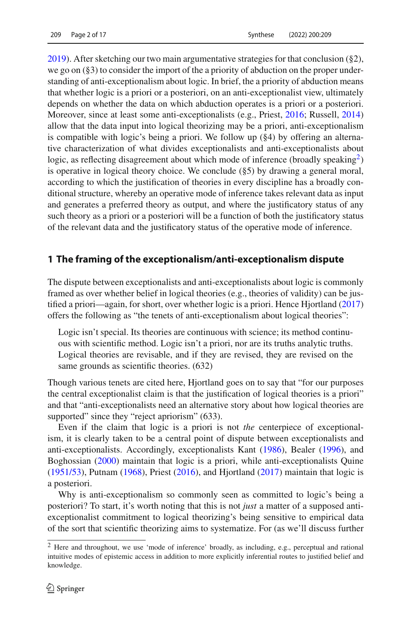[2019\)](#page-15-3). After sketching our two main argumentative strategies for that conclusion (§2), we go on  $(\S 3)$  to consider the import of the a priority of abduction on the proper understanding of anti-exceptionalism about logic. In brief, the a priority of abduction means that whether logic is a priori or a posteriori, on an anti-exceptionalist view, ultimately depends on whether the data on which abduction operates is a priori or a posteriori. Moreover, since at least some anti-exceptionalists (e.g., Priest, [2016](#page-16-0); Russell, [2014\)](#page-16-1) allow that the data input into logical theorizing may be a priori, anti-exceptionalism is compatible with logic's being a priori. We follow up (§4) by offering an alternative characterization of what divides exceptionalists and anti-exceptionalists about logic, as reflecting disagreement about which mode of inference (broadly speaking $\frac{2}{2}$ ) is operative in logical theory choice. We conclude  $(\S 5)$  by drawing a general moral, according to which the justification of theories in every discipline has a broadly conditional structure, whereby an operative mode of inference takes relevant data as input and generates a preferred theory as output, and where the justificatory status of any such theory as a priori or a posteriori will be a function of both the justificatory status of the relevant data and the justificatory status of the operative mode of inference.

## **1 The framing of the exceptionalism/anti-exceptionalism dispute**

The dispute between exceptionalists and anti-exceptionalists about logic is commonly framed as over whether belief in logical theories (e.g., theories of validity) can be justified a priori—again, for short, over whether logic is a priori. Hence Hjortland [\(2017\)](#page-16-2) offers the following as "the tenets of anti-exceptionalism about logical theories":

Logic isn't special. Its theories are continuous with science; its method continuous with scientific method. Logic isn't a priori, nor are its truths analytic truths. Logical theories are revisable, and if they are revised, they are revised on the same grounds as scientific theories. (632)

Though various tenets are cited here, Hjortland goes on to say that "for our purposes the central exceptionalist claim is that the justification of logical theories is a priori" and that "anti-exceptionalists need an alternative story about how logical theories are supported" since they "reject apriorism" (633).

Even if the claim that logic is a priori is not *the* centerpiece of exceptionalism, it is clearly taken to be a central point of dispute between exceptionalists and anti-exceptionalists. Accordingly, exceptionalists Kant [\(1986](#page-16-3)), Bealer [\(1996\)](#page-15-4), and Boghossian [\(2000\)](#page-15-5) maintain that logic is a priori, while anti-exceptionalists Quine [\(1951/53\)](#page-16-4), Putnam [\(1968](#page-16-5)), Priest [\(2016](#page-16-0)), and Hjortland [\(2017\)](#page-16-2) maintain that logic is a posteriori.

Why is anti-exceptionalism so commonly seen as committed to logic's being a posteriori? To start, it's worth noting that this is not *just* a matter of a supposed antiexceptionalist commitment to logical theorizing's being sensitive to empirical data of the sort that scientific theorizing aims to systematize. For (as we'll discuss further

<span id="page-1-0"></span><sup>2</sup> Here and throughout, we use 'mode of inference' broadly, as including, e.g., perceptual and rational intuitive modes of epistemic access in addition to more explicitly inferential routes to justified belief and knowledge.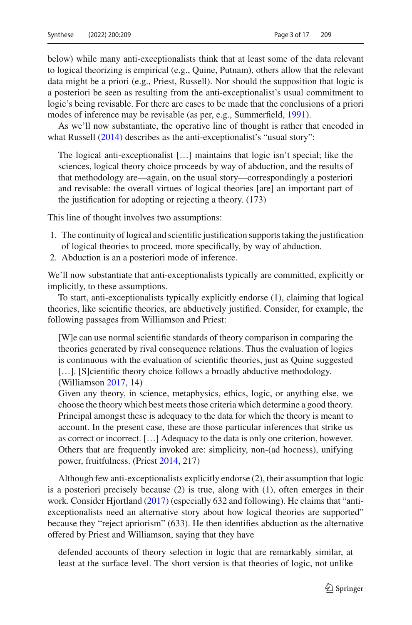below) while many anti-exceptionalists think that at least some of the data relevant to logical theorizing is empirical (e.g., Quine, Putnam), others allow that the relevant data might be a priori (e.g., Priest, Russell). Nor should the supposition that logic is a posteriori be seen as resulting from the anti-exceptionalist's usual commitment to logic's being revisable. For there are cases to be made that the conclusions of a priori modes of inference may be revisable (as per, e.g., Summerfield, [1991](#page-16-6)).

As we'll now substantiate, the operative line of thought is rather that encoded in what Russell [\(2014\)](#page-16-1) describes as the anti-exceptionalist's "usual story":

The logical anti-exceptionalist […] maintains that logic isn't special; like the sciences, logical theory choice proceeds by way of abduction, and the results of that methodology are—again, on the usual story—correspondingly a posteriori and revisable: the overall virtues of logical theories [are] an important part of the justification for adopting or rejecting a theory. (173)

This line of thought involves two assumptions:

- 1. The continuity of logical and scientific justification supports taking the justification of logical theories to proceed, more specifically, by way of abduction.
- 2. Abduction is an a posteriori mode of inference.

We'll now substantiate that anti-exceptionalists typically are committed, explicitly or implicitly, to these assumptions.

To start, anti-exceptionalists typically explicitly endorse (1), claiming that logical theories, like scientific theories, are abductively justified. Consider, for example, the following passages from Williamson and Priest:

[W]e can use normal scientific standards of theory comparison in comparing the theories generated by rival consequence relations. Thus the evaluation of logics is continuous with the evaluation of scientific theories, just as Quine suggested [...]. [S]cientific theory choice follows a broadly abductive methodology. (Williamson [2017,](#page-16-7) 14)

Given any theory, in science, metaphysics, ethics, logic, or anything else, we choose the theory which best meets those criteria which determine a good theory. Principal amongst these is adequacy to the data for which the theory is meant to account. In the present case, these are those particular inferences that strike us as correct or incorrect. […] Adequacy to the data is only one criterion, however. Others that are frequently invoked are: simplicity, non-(ad hocness), unifying power, fruitfulness. (Priest [2014](#page-16-8), 217)

Although few anti-exceptionalists explicitly endorse (2), their assumption that logic is a posteriori precisely because (2) is true, along with (1), often emerges in their work. Consider Hjortland [\(2017\)](#page-16-2) (especially 632 and following). He claims that "antiexceptionalists need an alternative story about how logical theories are supported" because they "reject apriorism" (633). He then identifies abduction as the alternative offered by Priest and Williamson, saying that they have

defended accounts of theory selection in logic that are remarkably similar, at least at the surface level. The short version is that theories of logic, not unlike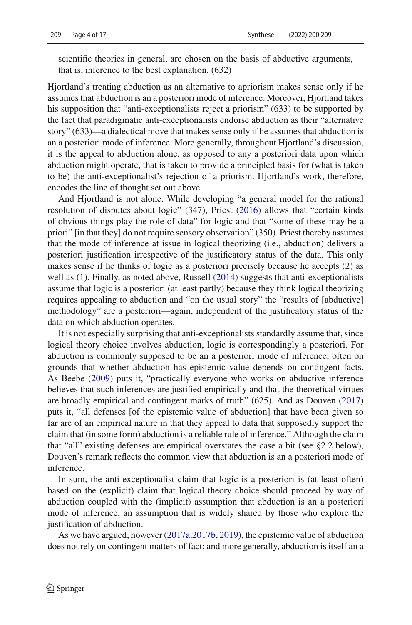scientific theories in general, are chosen on the basis of abductive arguments, that is, inference to the best explanation. (632)

Hiortland's treating abduction as an alternative to apriorism makes sense only if he assumes that abduction is an a posteriori mode of inference. Moreover, Hjortland takes his supposition that "anti-exceptionalists reject a priorism" (633) to be supported by the fact that paradigmatic anti-exceptionalists endorse abduction as their "alternative story" (633)—a dialectical move that makes sense only if he assumes that abduction is an a posteriori mode of inference. More generally, throughout Hjortland's discussion, it is the appeal to abduction alone, as opposed to any a posteriori data upon which abduction might operate, that is taken to provide a principled basis for (what is taken to be) the anti-exceptionalist's rejection of a priorism. Hjortland's work, therefore, encodes the line of thought set out above.

And Hjortland is not alone. While developing "a general model for the rational resolution of disputes about logic" (347), Priest [\(2016](#page-16-0)) allows that "certain kinds of obvious things play the role of data" for logic and that "some of these may be a priori" [in that they] do not require sensory observation" (350). Priest thereby assumes that the mode of inference at issue in logical theorizing (i.e., abduction) delivers a posteriori justification irrespective of the justificatory status of the data. This only makes sense if he thinks of logic as a posteriori precisely because he accepts (2) as well as (1). Finally, as noted above, Russell [\(2014\)](#page-16-1) suggests that anti-exceptionalists assume that logic is a posteriori (at least partly) because they think logical theorizing requires appealing to abduction and "on the usual story" the "results of [abductive] methodology" are a posteriori—again, independent of the justificatory status of the data on which abduction operates.

It is not especially surprising that anti-exceptionalists standardly assume that, since logical theory choice involves abduction, logic is correspondingly a posteriori. For abduction is commonly supposed to be an a posteriori mode of inference, often on grounds that whether abduction has epistemic value depends on contingent facts. As Beebe [\(2009](#page-15-2)) puts it, "practically everyone who works on abductive inference believes that such inferences are justified empirically and that the theoretical virtues are broadly empirical and contingent marks of truth" (625). And as Douven [\(2017\)](#page-16-9) puts it, "all defenses [of the epistemic value of abduction] that have been given so far are of an empirical nature in that they appeal to data that supposedly support the claim that (in some form) abduction is a reliable rule of inference." Although the claim that "all" existing defenses are empirical overstates the case a bit (see §2.2 below), Douven's remark reflects the common view that abduction is an a posteriori mode of inference.

In sum, the anti-exceptionalist claim that logic is a posteriori is (at least often) based on the (explicit) claim that logical theory choice should proceed by way of abduction coupled with the (implicit) assumption that abduction is an a posteriori mode of inference, an assumption that is widely shared by those who explore the justification of abduction.

As we have argued, however [\(2017a](#page-15-0)[,2017b](#page-15-1), [2019](#page-15-3)), the epistemic value of abduction does not rely on contingent matters of fact; and more generally, abduction is itself an a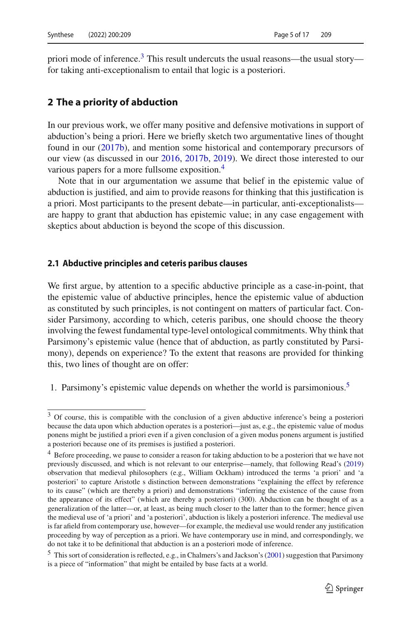priori mode of inference. $3$  This result undercuts the usual reasons—the usual story for taking anti-exceptionalism to entail that logic is a posteriori.

### **2 The a priority of abduction**

In our previous work, we offer many positive and defensive motivations in support of abduction's being a priori. Here we briefly sketch two argumentative lines of thought found in our [\(2017b\)](#page-15-1), and mention some historical and contemporary precursors of our view (as discussed in our [2016,](#page-15-6) [2017b](#page-15-1), [2019\)](#page-15-3). We direct those interested to our various papers for a more fullsome exposition.<sup>[4](#page-4-1)</sup>

Note that in our argumentation we assume that belief in the epistemic value of abduction is justified, and aim to provide reasons for thinking that this justification is a priori. Most participants to the present debate—in particular, anti-exceptionalists are happy to grant that abduction has epistemic value; in any case engagement with skeptics about abduction is beyond the scope of this discussion.

#### **2.1 Abductive principles and ceteris paribus clauses**

We first argue, by attention to a specific abductive principle as a case-in-point, that the epistemic value of abductive principles, hence the epistemic value of abduction as constituted by such principles, is not contingent on matters of particular fact. Consider Parsimony, according to which, ceteris paribus, one should choose the theory involving the fewest fundamental type-level ontological commitments. Why think that Parsimony's epistemic value (hence that of abduction, as partly constituted by Parsimony), depends on experience? To the extent that reasons are provided for thinking this, two lines of thought are on offer:

1. Parsimony's epistemic value depends on whether the world is parsimonious.<sup>5</sup>

<span id="page-4-0"></span><sup>3</sup> Of course, this is compatible with the conclusion of a given abductive inference's being a posteriori because the data upon which abduction operates is a posteriori—just as, e.g., the epistemic value of modus ponens might be justified a priori even if a given conclusion of a given modus ponens argument is justified a posteriori because one of its premises is justified a posteriori.

<span id="page-4-1"></span><sup>&</sup>lt;sup>4</sup> Before proceeding, we pause to consider a reason for taking abduction to be a posteriori that we have not previously discussed, and which is not relevant to our enterprise—namely, that following Read's [\(2019](#page-16-10)) observation that medieval philosophers (e.g., William Ockham) introduced the terms 'a priori' and 'a posteriori' to capture Aristotle s distinction between demonstrations "explaining the effect by reference to its cause" (which are thereby a priori) and demonstrations "inferring the existence of the cause from the appearance of its effect" (which are thereby a posteriori) (300). Abduction can be thought of as a generalization of the latter—or, at least, as being much closer to the latter than to the former; hence given the medieval use of 'a priori' and 'a posteriori', abduction is likely a posteriori inference. The medieval use is far afield from contemporary use, however—for example, the medieval use would render any justification proceeding by way of perception as a priori. We have contemporary use in mind, and correspondingly, we do not take it to be definitional that abduction is an a posteriori mode of inference.

<span id="page-4-2"></span><sup>5</sup> This sort of consideration is reflected, e.g., in Chalmers's and Jackson's [\(2001\)](#page-16-11) suggestion that Parsimony is a piece of "information" that might be entailed by base facts at a world.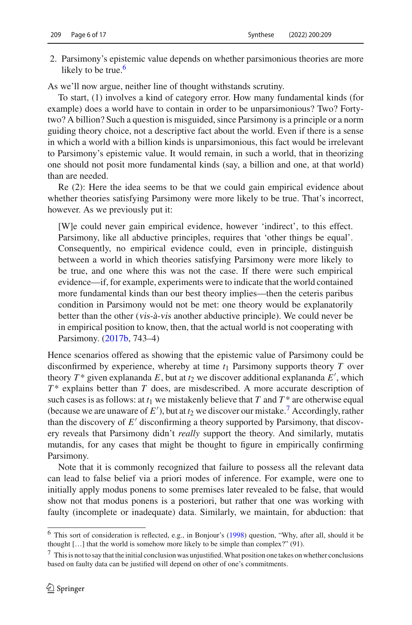2. Parsimony's epistemic value depends on whether parsimonious theories are more likely to be true. $6$ 

As we'll now argue, neither line of thought withstands scrutiny.

To start, (1) involves a kind of category error. How many fundamental kinds (for example) does a world have to contain in order to be unparsimonious? Two? Fortytwo? A billion? Such a question is misguided, since Parsimony is a principle or a norm guiding theory choice, not a descriptive fact about the world. Even if there is a sense in which a world with a billion kinds is unparsimonious, this fact would be irrelevant to Parsimony's epistemic value. It would remain, in such a world, that in theorizing one should not posit more fundamental kinds (say, a billion and one, at that world) than are needed.

Re (2): Here the idea seems to be that we could gain empirical evidence about whether theories satisfying Parsimony were more likely to be true. That's incorrect, however. As we previously put it:

[W]e could never gain empirical evidence, however 'indirect', to this effect. Parsimony, like all abductive principles, requires that 'other things be equal'. Consequently, no empirical evidence could, even in principle, distinguish between a world in which theories satisfying Parsimony were more likely to be true, and one where this was not the case. If there were such empirical evidence—if, for example, experiments were to indicate that the world contained more fundamental kinds than our best theory implies—then the ceteris paribus condition in Parsimony would not be met: one theory would be explanatorily better than the other (vis-à-vis another abductive principle). We could never be in empirical position to know, then, that the actual world is not cooperating with Parsimony. [\(2017b,](#page-15-1) 743–4)

Hence scenarios offered as showing that the epistemic value of Parsimony could be disconfirmed by experience, whereby at time  $t_1$  Parsimony supports theory  $T$  over theory  $T^*$  given explananda  $E$ , but at  $t_2$  we discover additional explananda  $E'$ , which *T* \* explains better than *T* does, are misdescribed. A more accurate description of such cases is as follows: at  $t_1$  we mistakenly believe that  $T$  and  $T^*$  are otherwise equal (because we are unaware of  $E'$ ), but at  $t_2$  we discover our mistake.<sup>[7](#page-5-1)</sup> Accordingly, rather than the discovery of  $E'$  disconfirming a theory supported by Parsimony, that discovery reveals that Parsimony didn't *really* support the theory. And similarly, mutatis mutandis, for any cases that might be thought to figure in empirically confirming Parsimony.

Note that it is commonly recognized that failure to possess all the relevant data can lead to false belief via a priori modes of inference. For example, were one to initially apply modus ponens to some premises later revealed to be false, that would show not that modus ponens is a posteriori, but rather that one was working with faulty (incomplete or inadequate) data. Similarly, we maintain, for abduction: that

<span id="page-5-0"></span><sup>6</sup> This sort of consideration is reflected, e.g., in Bonjour's [\(1998\)](#page-15-7) question, "Why, after all, should it be thought […] that the world is somehow more likely to be simple than complex?" (91).

<span id="page-5-1"></span><sup>7</sup> This is not to say that the initial conclusion was unjustified.What position one takes on whether conclusions based on faulty data can be justified will depend on other of one's commitments.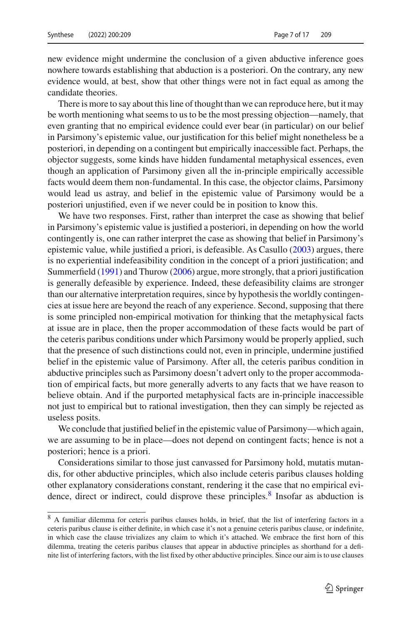new evidence might undermine the conclusion of a given abductive inference goes nowhere towards establishing that abduction is a posteriori. On the contrary, any new evidence would, at best, show that other things were not in fact equal as among the candidate theories.

There is more to say about this line of thought than we can reproduce here, but it may be worth mentioning what seems to us to be the most pressing objection—namely, that even granting that no empirical evidence could ever bear (in particular) on our belief in Parsimony's epistemic value, our justification for this belief might nonetheless be a posteriori, in depending on a contingent but empirically inaccessible fact. Perhaps, the objector suggests, some kinds have hidden fundamental metaphysical essences, even though an application of Parsimony given all the in-principle empirically accessible facts would deem them non-fundamental. In this case, the objector claims, Parsimony would lead us astray, and belief in the epistemic value of Parsimony would be a posteriori unjustified, even if we never could be in position to know this.

We have two responses. First, rather than interpret the case as showing that belief in Parsimony's epistemic value is justified a posteriori, in depending on how the world contingently is, one can rather interpret the case as showing that belief in Parsimony's epistemic value, while justified a priori, is defeasible. As Casullo [\(2003](#page-16-12)) argues, there is no experiential indefeasibility condition in the concept of a priori justification; and Summerfield [\(1991](#page-16-6)) and Thurow [\(2006\)](#page-16-13) argue, more strongly, that a priori justification is generally defeasible by experience. Indeed, these defeasibility claims are stronger than our alternative interpretation requires, since by hypothesis the worldly contingencies at issue here are beyond the reach of any experience. Second, supposing that there is some principled non-empirical motivation for thinking that the metaphysical facts at issue are in place, then the proper accommodation of these facts would be part of the ceteris paribus conditions under which Parsimony would be properly applied, such that the presence of such distinctions could not, even in principle, undermine justified belief in the epistemic value of Parsimony. After all, the ceteris paribus condition in abductive principles such as Parsimony doesn't advert only to the proper accommodation of empirical facts, but more generally adverts to any facts that we have reason to believe obtain. And if the purported metaphysical facts are in-principle inaccessible not just to empirical but to rational investigation, then they can simply be rejected as useless posits.

We conclude that justified belief in the epistemic value of Parsimony—which again, we are assuming to be in place—does not depend on contingent facts; hence is not a posteriori; hence is a priori.

Considerations similar to those just canvassed for Parsimony hold, mutatis mutandis, for other abductive principles, which also include ceteris paribus clauses holding other explanatory considerations constant, rendering it the case that no empirical evidence, direct or indirect, could disprove these principles. $\frac{8}{3}$  Insofar as abduction is

<span id="page-6-0"></span><sup>8</sup> A familiar dilemma for ceteris paribus clauses holds, in brief, that the list of interfering factors in a ceteris paribus clause is either definite, in which case it's not a genuine ceteris paribus clause, or indefinite, in which case the clause trivializes any claim to which it's attached. We embrace the first horn of this dilemma, treating the ceteris paribus clauses that appear in abductive principles as shorthand for a definite list of interfering factors, with the list fixed by other abductive principles. Since our aim is to use clauses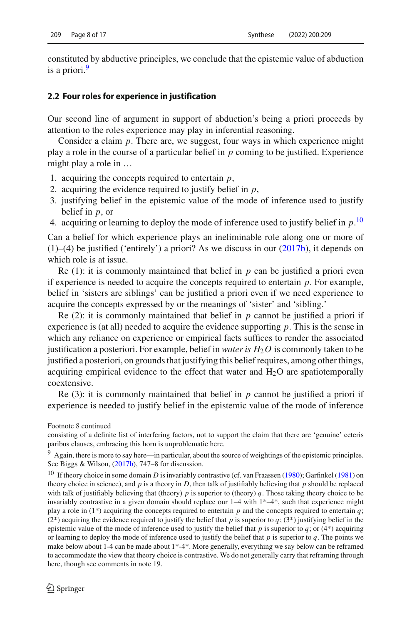constituted by abductive principles, we conclude that the epistemic value of abduction is a priori.<sup>9</sup>

#### **2.2 Four roles for experience in justification**

Our second line of argument in support of abduction's being a priori proceeds by attention to the roles experience may play in inferential reasoning.

Consider a claim *p*. There are, we suggest, four ways in which experience might play a role in the course of a particular belief in *p* coming to be justified. Experience might play a role in …

- 1. acquiring the concepts required to entertain *p*,
- 2. acquiring the evidence required to justify belief in *p*,
- 3. justifying belief in the epistemic value of the mode of inference used to justify belief in *p*, or
- 4. acquiring or learning to deploy the mode of inference used to justify belief in *p*. [10](#page-7-1)

Can a belief for which experience plays an ineliminable role along one or more of (1)–(4) be justified ('entirely') a priori? As we discuss in our [\(2017b\)](#page-15-1), it depends on which role is at issue.

Re  $(1)$ : it is commonly maintained that belief in *p* can be justified a priori even if experience is needed to acquire the concepts required to entertain *p*. For example, belief in 'sisters are siblings' can be justified a priori even if we need experience to acquire the concepts expressed by or the meanings of 'sister' and 'sibling.'

Re  $(2)$ : it is commonly maintained that belief in *p* cannot be justified a priori if experience is (at all) needed to acquire the evidence supporting *p*. This is the sense in which any reliance on experience or empirical facts suffices to render the associated justification a posteriori. For example, belief in *water is*  $H_2O$  is commonly taken to be justified a posteriori, on grounds that justifying this belief requires, among other things, acquiring empirical evidence to the effect that water and  $H_2O$  are spatiotemporally coextensive.

Re (3): it is commonly maintained that belief in *p* cannot be justified a priori if experience is needed to justify belief in the epistemic value of the mode of inference

Footnote 8 continued

consisting of a definite list of interfering factors, not to support the claim that there are 'genuine' ceteris paribus clauses, embracing this horn is unproblematic here.

<span id="page-7-0"></span><sup>9</sup> Again, there is more to say here—in particular, about the source of weightings of the epistemic principles. See Biggs & Wilson, [\(2017b](#page-15-1)), 747–8 for discussion.

<span id="page-7-1"></span><sup>&</sup>lt;sup>10</sup> If theory choice in some domain *D* is invariably contrastive (cf. van Fraassen [\(1980\)](#page-16-14); Garfinkel [\(1981](#page-16-15)) on theory choice in science), and  $p$  is a theory in  $D$ , then talk of justifiably believing that  $p$  should be replaced with talk of justifiably believing that (theory)  $p$  is superior to (theory)  $q$ . Those taking theory choice to be invariably contrastive in a given domain should replace our 1–4 with 1\*–4\*, such that experience might play a role in  $(1^*)$  acquiring the concepts required to entertain *p* and the concepts required to entertain *q*; (2<sup>\*</sup>) acquiring the evidence required to justify the belief that *p* is superior to *q*; (3<sup>\*</sup>) justifying belief in the epistemic value of the mode of inference used to justify the belief that  $p$  is superior to  $q$ ; or (4\*) acquiring or learning to deploy the mode of inference used to justify the belief that  $p$  is superior to  $q$ . The points we make below about 1-4 can be made about 1\*-4\*. More generally, everything we say below can be reframed to accommodate the view that theory choice is contrastive. We do not generally carry that reframing through here, though see comments in note 19.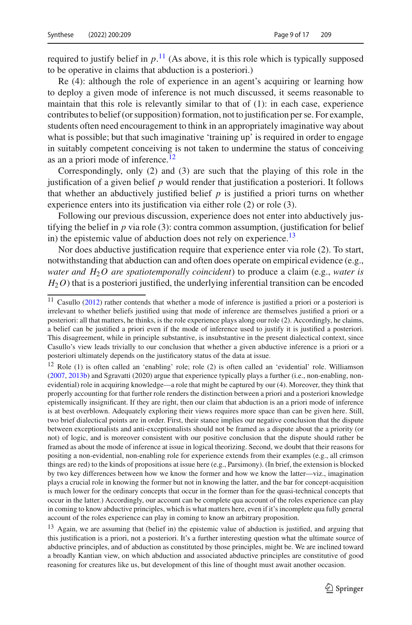required to justify belief in *p*. [11](#page-8-0) (As above, it is this role which is typically supposed to be operative in claims that abduction is a posteriori.)

Re (4): although the role of experience in an agent's acquiring or learning how to deploy a given mode of inference is not much discussed, it seems reasonable to maintain that this role is relevantly similar to that of (1): in each case, experience contributes to belief (or supposition) formation, not to justification per se. For example, students often need encouragement to think in an appropriately imaginative way about what is possible; but that such imaginative 'training up' is required in order to engage in suitably competent conceiving is not taken to undermine the status of conceiving as an a priori mode of inference.<sup>[12](#page-8-1)</sup>

Correspondingly, only (2) and (3) are such that the playing of this role in the justification of a given belief *p* would render that justification a posteriori. It follows that whether an abductively justified belief  $p$  is justified a priori turns on whether experience enters into its justification via either role (2) or role (3).

Following our previous discussion, experience does not enter into abductively justifying the belief in  $p$  via role (3): contra common assumption, (justification for belief in) the epistemic value of abduction does not rely on experience.<sup>13</sup>

Nor does abductive justification require that experience enter via role (2). To start, notwithstanding that abduction can and often does operate on empirical evidence (e.g., *water and H*2*O are spatiotemporally coincident*) to produce a claim (e.g., *water is*  $H_2$ <sup>O</sup>) that is a posteriori justified, the underlying inferential transition can be encoded

<span id="page-8-1"></span><sup>12</sup> Role (1) is often called an 'enabling' role; role (2) is often called an 'evidential' role. Williamson [\(2007](#page-16-17), [2013b](#page-16-18)) and Sgravatti (2020) argue that experience typically plays a further (i.e., non-enabling, nonevidential) role in acquiring knowledge—a role that might be captured by our (4). Moreover, they think that properly accounting for that further role renders the distinction between a priori and a posteriori knowledge epistemically insignificant. If they are right, then our claim that abduction is an a priori mode of inference is at best overblown. Adequately exploring their views requires more space than can be given here. Still, two brief dialectical points are in order. First, their stance implies our negative conclusion that the dispute between exceptionalists and anti-exceptionalists should not be framed as a dispute about the a priority (or not) of logic, and is moreover consistent with our positive conclusion that the dispute should rather be framed as about the mode of inference at issue in logical theorizing. Second, we doubt that their reasons for positing a non-evidential, non-enabling role for experience extends from their examples (e.g., all crimson things are red) to the kinds of propositions at issue here (e.g., Parsimony). (In brief, the extension is blocked by two key differences between how we know the former and how we know the latter—viz., imagination plays a crucial role in knowing the former but not in knowing the latter, and the bar for concept-acquisition is much lower for the ordinary concepts that occur in the former than for the quasi-technical concepts that occur in the latter.) Accordingly, our account can be complete qua account of the roles experience can play in coming to know abductive principles, which is what matters here, even if it's incomplete qua fully general account of the roles experience can play in coming to know an arbitrary proposition.

<span id="page-8-2"></span><sup>13</sup> Again, we are assuming that (belief in) the epistemic value of abduction is justified, and arguing that this justification is a priori, not a posteriori. It's a further interesting question what the ultimate source of abductive principles, and of abduction as constituted by those principles, might be. We are inclined toward a broadly Kantian view, on which abduction and associated abductive principles are constitutive of good reasoning for creatures like us, but development of this line of thought must await another occasion.

<span id="page-8-0"></span> $11$  Casullo [\(2012](#page-16-16)) rather contends that whether a mode of inference is justified a priori or a posteriori is irrelevant to whether beliefs justified using that mode of inference are themselves justified a priori or a posteriori: all that matters, he thinks, is the role experience plays along our role (2). Accordingly, he claims, a belief can be justified a priori even if the mode of inference used to justify it is justified a posteriori. This disagreement, while in principle substantive, is insubstantive in the present dialectical context, since Casullo's view leads trivially to our conclusion that whether a given abductive inference is a priori or a posteriori ultimately depends on the justificatory status of the data at issue.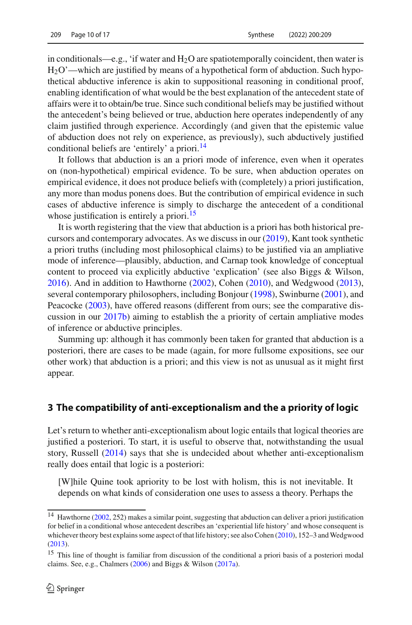in conditionals—e.g., 'if water and  $H_2O$  are spatiotemporally coincident, then water is  $H_2O'$ —which are justified by means of a hypothetical form of abduction. Such hypothetical abductive inference is akin to suppositional reasoning in conditional proof, enabling identification of what would be the best explanation of the antecedent state of affairs were it to obtain/be true. Since such conditional beliefs may be justified without the antecedent's being believed or true, abduction here operates independently of any claim justified through experience. Accordingly (and given that the epistemic value of abduction does not rely on experience, as previously), such abductively justified conditional beliefs are 'entirely' a priori.<sup>[14](#page-9-0)</sup>

It follows that abduction is an a priori mode of inference, even when it operates on (non-hypothetical) empirical evidence. To be sure, when abduction operates on empirical evidence, it does not produce beliefs with (completely) a priori justification, any more than modus ponens does. But the contribution of empirical evidence in such cases of abductive inference is simply to discharge the antecedent of a conditional whose justification is entirely a priori.<sup>15</sup>

It is worth registering that the view that abduction is a priori has both historical precursors and contemporary advocates. As we discuss in our [\(2019\)](#page-15-3), Kant took synthetic a priori truths (including most philosophical claims) to be justified via an ampliative mode of inference—plausibly, abduction, and Carnap took knowledge of conceptual content to proceed via explicitly abductive 'explication' (see also Biggs & Wilson, [2016\)](#page-15-6). And in addition to Hawthorne [\(2002](#page-16-19)), Cohen [\(2010\)](#page-16-20), and Wedgwood [\(2013](#page-16-21)), several contemporary philosophers, including Bonjour [\(1998](#page-15-7)), Swinburne [\(2001\)](#page-16-22), and Peacocke [\(2003](#page-16-23)), have offered reasons (different from ours; see the comparative discussion in our [2017b](#page-15-1)) aiming to establish the a priority of certain ampliative modes of inference or abductive principles.

Summing up: although it has commonly been taken for granted that abduction is a posteriori, there are cases to be made (again, for more fullsome expositions, see our other work) that abduction is a priori; and this view is not as unusual as it might first appear.

#### **3 The compatibility of anti-exceptionalism and the a priority of logic**

Let's return to whether anti-exceptionalism about logic entails that logical theories are justified a posteriori. To start, it is useful to observe that, notwithstanding the usual story, Russell [\(2014\)](#page-16-1) says that she is undecided about whether anti-exceptionalism really does entail that logic is a posteriori:

[W]hile Quine took apriority to be lost with holism, this is not inevitable. It depends on what kinds of consideration one uses to assess a theory. Perhaps the

<span id="page-9-0"></span><sup>&</sup>lt;sup>14</sup> Hawthorne [\(2002,](#page-16-19) 252) makes a similar point, suggesting that abduction can deliver a priori justification for belief in a conditional whose antecedent describes an 'experiential life history' and whose consequent is whichever theory best explains some aspect of that life history; see also Cohen [\(2010](#page-16-20)), 152-3 and Wedgwood [\(2013](#page-16-21)).

<span id="page-9-1"></span><sup>&</sup>lt;sup>15</sup> This line of thought is familiar from discussion of the conditional a priori basis of a posteriori modal claims. See, e.g., Chalmers [\(2006\)](#page-16-24) and Biggs & Wilson [\(2017a](#page-15-0)).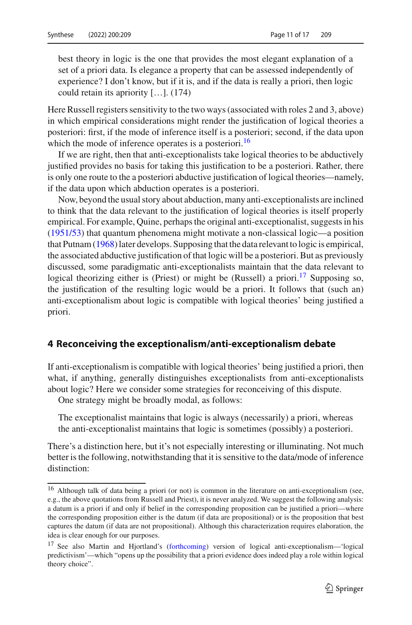best theory in logic is the one that provides the most elegant explanation of a set of a priori data. Is elegance a property that can be assessed independently of experience? I don't know, but if it is, and if the data is really a priori, then logic could retain its apriority […]. (174)

Here Russell registers sensitivity to the two ways (associated with roles 2 and 3, above) in which empirical considerations might render the justification of logical theories a posteriori: first, if the mode of inference itself is a posteriori; second, if the data upon which the mode of inference operates is a posteriori.<sup>[16](#page-10-0)</sup>

If we are right, then that anti-exceptionalists take logical theories to be abductively justified provides no basis for taking this justification to be a posteriori. Rather, there is only one route to the a posteriori abductive justification of logical theories—namely, if the data upon which abduction operates is a posteriori.

Now, beyond the usual story about abduction, many anti-exceptionalists are inclined to think that the data relevant to the justification of logical theories is itself properly empirical. For example, Quine, perhaps the original anti-exceptionalist, suggests in his [\(1951/53\)](#page-16-4) that quantum phenomena might motivate a non-classical logic—a position that Putnam [\(1968](#page-16-5)) later develops. Supposing that the data relevant to logic is empirical, the associated abductive justification of that logic will be a posteriori. But as previously discussed, some paradigmatic anti-exceptionalists maintain that the data relevant to logical theorizing either is (Priest) or might be (Russell) a priori.<sup>[17](#page-10-1)</sup> Supposing so, the justification of the resulting logic would be a priori. It follows that (such an) anti-exceptionalism about logic is compatible with logical theories' being justified a priori.

#### **4 Reconceiving the exceptionalism/anti-exceptionalism debate**

If anti-exceptionalism is compatible with logical theories' being justified a priori, then what, if anything, generally distinguishes exceptionalists from anti-exceptionalists about logic? Here we consider some strategies for reconceiving of this dispute.

One strategy might be broadly modal, as follows:

The exceptionalist maintains that logic is always (necessarily) a priori, whereas the anti-exceptionalist maintains that logic is sometimes (possibly) a posteriori.

There's a distinction here, but it's not especially interesting or illuminating. Not much better is the following, notwithstanding that it is sensitive to the data/mode of inference distinction:

<span id="page-10-0"></span><sup>&</sup>lt;sup>16</sup> Although talk of data being a priori (or not) is common in the literature on anti-exceptionalism (see, e.g., the above quotations from Russell and Priest), it is never analyzed. We suggest the following analysis: a datum is a priori if and only if belief in the corresponding proposition can be justified a priori—where the corresponding proposition either is the datum (if data are propositional) or is the proposition that best captures the datum (if data are not propositional). Although this characterization requires elaboration, the idea is clear enough for our purposes.

<span id="page-10-1"></span><sup>17</sup> See also Martin and Hjortland's [\(forthcoming\)](#page-16-25) version of logical anti-exceptionalism—'logical predictivism'—which "opens up the possibility that a priori evidence does indeed play a role within logical theory choice".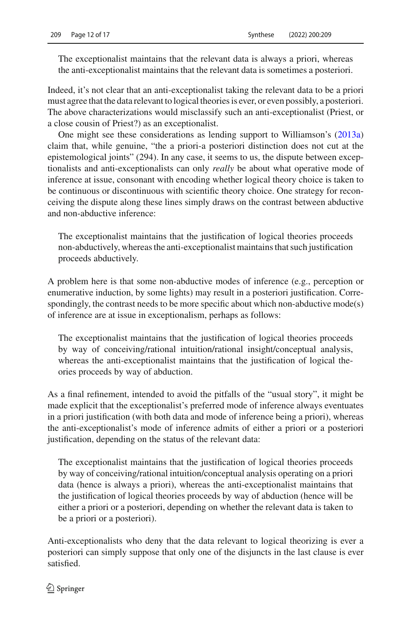The exceptionalist maintains that the relevant data is always a priori, whereas the anti-exceptionalist maintains that the relevant data is sometimes a posteriori.

Indeed, it's not clear that an anti-exceptionalist taking the relevant data to be a priori must agree that the data relevant to logical theories is ever, or even possibly, a posteriori. The above characterizations would misclassify such an anti-exceptionalist (Priest, or a close cousin of Priest?) as an exceptionalist.

One might see these considerations as lending support to Williamson's [\(2013a\)](#page-16-26) claim that, while genuine, "the a priori-a posteriori distinction does not cut at the epistemological joints" (294). In any case, it seems to us, the dispute between exceptionalists and anti-exceptionalists can only *really* be about what operative mode of inference at issue, consonant with encoding whether logical theory choice is taken to be continuous or discontinuous with scientific theory choice. One strategy for reconceiving the dispute along these lines simply draws on the contrast between abductive and non-abductive inference:

The exceptionalist maintains that the justification of logical theories proceeds non-abductively, whereas the anti-exceptionalist maintains that such justification proceeds abductively.

A problem here is that some non-abductive modes of inference (e.g., perception or enumerative induction, by some lights) may result in a posteriori justification. Correspondingly, the contrast needs to be more specific about which non-abductive mode(s) of inference are at issue in exceptionalism, perhaps as follows:

The exceptionalist maintains that the justification of logical theories proceeds by way of conceiving/rational intuition/rational insight/conceptual analysis, whereas the anti-exceptionalist maintains that the justification of logical theories proceeds by way of abduction.

As a final refinement, intended to avoid the pitfalls of the "usual story", it might be made explicit that the exceptionalist's preferred mode of inference always eventuates in a priori justification (with both data and mode of inference being a priori), whereas the anti-exceptionalist's mode of inference admits of either a priori or a posteriori justification, depending on the status of the relevant data:

The exceptionalist maintains that the justification of logical theories proceeds by way of conceiving/rational intuition/conceptual analysis operating on a priori data (hence is always a priori), whereas the anti-exceptionalist maintains that the justification of logical theories proceeds by way of abduction (hence will be either a priori or a posteriori, depending on whether the relevant data is taken to be a priori or a posteriori).

Anti-exceptionalists who deny that the data relevant to logical theorizing is ever a posteriori can simply suppose that only one of the disjuncts in the last clause is ever satisfied.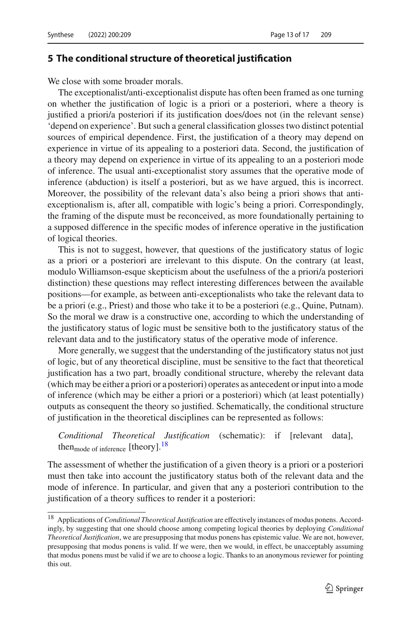#### **5 The conditional structure of theoretical justification**

We close with some broader morals.

The exceptionalist/anti-exceptionalist dispute has often been framed as one turning on whether the justification of logic is a priori or a posteriori, where a theory is justified a priori/a posteriori if its justification does/does not (in the relevant sense) 'depend on experience'. But such a general classification glosses two distinct potential sources of empirical dependence. First, the justification of a theory may depend on experience in virtue of its appealing to a posteriori data. Second, the justification of a theory may depend on experience in virtue of its appealing to an a posteriori mode of inference. The usual anti-exceptionalist story assumes that the operative mode of inference (abduction) is itself a posteriori, but as we have argued, this is incorrect. Moreover, the possibility of the relevant data's also being a priori shows that antiexceptionalism is, after all, compatible with logic's being a priori. Correspondingly, the framing of the dispute must be reconceived, as more foundationally pertaining to a supposed difference in the specific modes of inference operative in the justification of logical theories.

This is not to suggest, however, that questions of the justificatory status of logic as a priori or a posteriori are irrelevant to this dispute. On the contrary (at least, modulo Williamson-esque skepticism about the usefulness of the a priori/a posteriori distinction) these questions may reflect interesting differences between the available positions—for example, as between anti-exceptionalists who take the relevant data to be a priori (e.g., Priest) and those who take it to be a posteriori (e.g., Quine, Putnam). So the moral we draw is a constructive one, according to which the understanding of the justificatory status of logic must be sensitive both to the justificatory status of the relevant data and to the justificatory status of the operative mode of inference.

More generally, we suggest that the understanding of the justificatory status not just of logic, but of any theoretical discipline, must be sensitive to the fact that theoretical justification has a two part, broadly conditional structure, whereby the relevant data (which may be either a priori or a posteriori) operates as antecedent or input into a mode of inference (which may be either a priori or a posteriori) which (at least potentially) outputs as consequent the theory so justified. Schematically, the conditional structure of justification in the theoretical disciplines can be represented as follows:

*Conditional Theoretical Justification* (schematic): if [relevant data], then<sub>mode of inference</sub> [theory].<sup>[18](#page-12-0)</sup>

The assessment of whether the justification of a given theory is a priori or a posteriori must then take into account the justificatory status both of the relevant data and the mode of inference. In particular, and given that any a posteriori contribution to the justification of a theory suffices to render it a posteriori:

<span id="page-12-0"></span><sup>18</sup> Applications of *Conditional Theoretical Justification* are effectively instances of modus ponens. Accordingly, by suggesting that one should choose among competing logical theories by deploying *Conditional Theoretical Justification*, we are presupposing that modus ponens has epistemic value. We are not, however, presupposing that modus ponens is valid. If we were, then we would, in effect, be unacceptably assuming that modus ponens must be valid if we are to choose a logic. Thanks to an anonymous reviewer for pointing this out.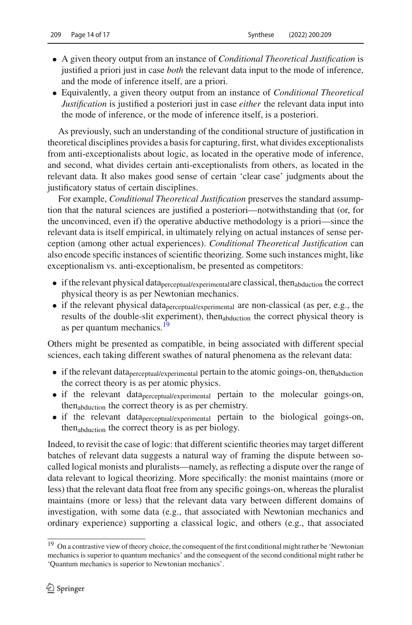- A given theory output from an instance of *Conditional Theoretical Justification* is justified a priori just in case *both* the relevant data input to the mode of inference, and the mode of inference itself, are a priori.
- Equivalently, a given theory output from an instance of *Conditional Theoretical Justification* is justified a posteriori just in case *either* the relevant data input into the mode of inference, or the mode of inference itself, is a posteriori.

As previously, such an understanding of the conditional structure of justification in theoretical disciplines provides a basis for capturing, first, what divides exceptionalists from anti-exceptionalists about logic, as located in the operative mode of inference, and second, what divides certain anti-exceptionalists from others, as located in the relevant data. It also makes good sense of certain 'clear case' judgments about the justificatory status of certain disciplines.

For example, *Conditional Theoretical Justification* preserves the standard assumption that the natural sciences are justified a posteriori—notwithstanding that (or, for the unconvinced, even if) the operative abductive methodology is a priori—since the relevant data is itself empirical, in ultimately relying on actual instances of sense perception (among other actual experiences). *Conditional Theoretical Justification* can also encode specific instances of scientific theorizing. Some such instances might, like exceptionalism vs. anti-exceptionalism, be presented as competitors:

- $\bullet$  if the relevant physical data perceptual/experimental are classical, then abduction the correct physical theory is as per Newtonian mechanics.
- if the relevant physical dataperceptual/experimental are non-classical (as per, e.g., the results of the double-slit experiment), then<sub>abduction</sub> the correct physical theory is as per quantum mechanics.<sup>[19](#page-13-0)</sup>

Others might be presented as compatible, in being associated with different special sciences, each taking different swathes of natural phenomena as the relevant data:

- if the relevant data  $perceptual/experiment$  pertain to the atomic goings-on, then<sub>abduction</sub> the correct theory is as per atomic physics.
- if the relevant dataperceptual/experimental pertain to the molecular goings-on, thenabduction the correct theory is as per chemistry.
- if the relevant dataperceptual/experimental pertain to the biological goings-on, thenabduction the correct theory is as per biology.

Indeed, to revisit the case of logic: that different scientific theories may target different batches of relevant data suggests a natural way of framing the dispute between socalled logical monists and pluralists—namely, as reflecting a dispute over the range of data relevant to logical theorizing. More specifically: the monist maintains (more or less) that the relevant data float free from any specific goings-on, whereas the pluralist maintains (more or less) that the relevant data vary between different domains of investigation, with some data (e.g., that associated with Newtonian mechanics and ordinary experience) supporting a classical logic, and others (e.g., that associated

<span id="page-13-0"></span><sup>&</sup>lt;sup>19</sup> On a contrastive view of theory choice, the consequent of the first conditional might rather be 'Newtonian mechanics is superior to quantum mechanics' and the consequent of the second conditional might rather be 'Quantum mechanics is superior to Newtonian mechanics'.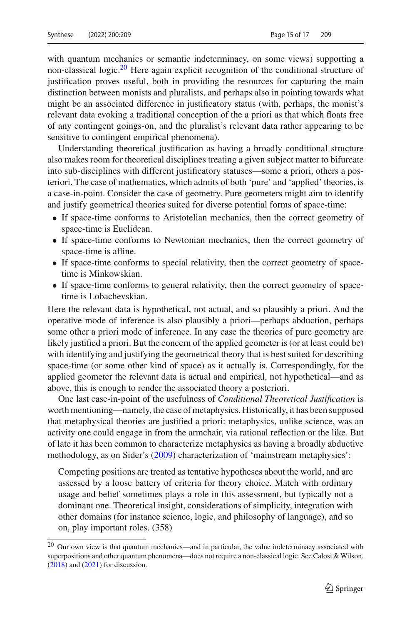with quantum mechanics or semantic indeterminacy, on some views) supporting a non-classical logic.<sup>[20](#page-14-0)</sup> Here again explicit recognition of the conditional structure of justification proves useful, both in providing the resources for capturing the main distinction between monists and pluralists, and perhaps also in pointing towards what might be an associated difference in justificatory status (with, perhaps, the monist's relevant data evoking a traditional conception of the a priori as that which floats free of any contingent goings-on, and the pluralist's relevant data rather appearing to be sensitive to contingent empirical phenomena).

Understanding theoretical justification as having a broadly conditional structure also makes room for theoretical disciplines treating a given subject matter to bifurcate into sub-disciplines with different justificatory statuses—some a priori, others a posteriori. The case of mathematics, which admits of both 'pure' and 'applied' theories, is a case-in-point. Consider the case of geometry. Pure geometers might aim to identify and justify geometrical theories suited for diverse potential forms of space-time:

- If space-time conforms to Aristotelian mechanics, then the correct geometry of space-time is Euclidean.
- If space-time conforms to Newtonian mechanics, then the correct geometry of space-time is affine.
- If space-time conforms to special relativity, then the correct geometry of spacetime is Minkowskian.
- If space-time conforms to general relativity, then the correct geometry of spacetime is Lobachevskian.

Here the relevant data is hypothetical, not actual, and so plausibly a priori. And the operative mode of inference is also plausibly a priori—perhaps abduction, perhaps some other a priori mode of inference. In any case the theories of pure geometry are likely justified a priori. But the concern of the applied geometer is (or at least could be) with identifying and justifying the geometrical theory that is best suited for describing space-time (or some other kind of space) as it actually is. Correspondingly, for the applied geometer the relevant data is actual and empirical, not hypothetical—and as above, this is enough to render the associated theory a posteriori.

One last case-in-point of the usefulness of *Conditional Theoretical Justification* is worth mentioning—namely, the case of metaphysics. Historically, it has been supposed that metaphysical theories are justified a priori: metaphysics, unlike science, was an activity one could engage in from the armchair, via rational reflection or the like. But of late it has been common to characterize metaphysics as having a broadly abductive methodology, as on Sider's [\(2009](#page-16-27)) characterization of 'mainstream metaphysics':

Competing positions are treated as tentative hypotheses about the world, and are assessed by a loose battery of criteria for theory choice. Match with ordinary usage and belief sometimes plays a role in this assessment, but typically not a dominant one. Theoretical insight, considerations of simplicity, integration with other domains (for instance science, logic, and philosophy of language), and so on, play important roles. (358)

<span id="page-14-0"></span><sup>20</sup> Our own view is that quantum mechanics—and in particular, the value indeterminacy associated with superpositions and other quantum phenomena—does not require a non-classical logic. See Calosi & Wilson, [\(2018](#page-15-8)) and [\(2021](#page-16-28)) for discussion.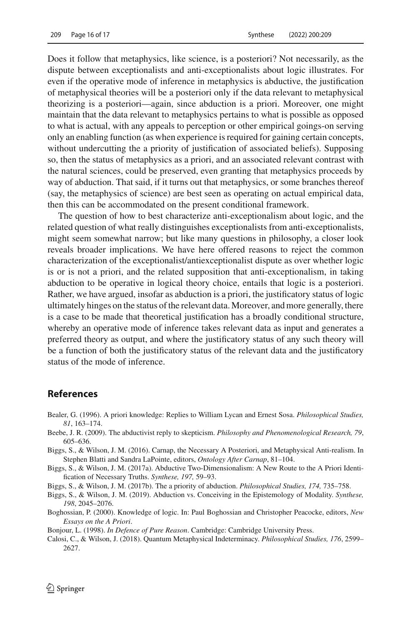Does it follow that metaphysics, like science, is a posteriori? Not necessarily, as the dispute between exceptionalists and anti-exceptionalists about logic illustrates. For even if the operative mode of inference in metaphysics is abductive, the justification of metaphysical theories will be a posteriori only if the data relevant to metaphysical theorizing is a posteriori—again, since abduction is a priori. Moreover, one might maintain that the data relevant to metaphysics pertains to what is possible as opposed to what is actual, with any appeals to perception or other empirical goings-on serving only an enabling function (as when experience is required for gaining certain concepts, without undercutting the a priority of justification of associated beliefs). Supposing so, then the status of metaphysics as a priori, and an associated relevant contrast with the natural sciences, could be preserved, even granting that metaphysics proceeds by way of abduction. That said, if it turns out that metaphysics, or some branches thereof (say, the metaphysics of science) are best seen as operating on actual empirical data, then this can be accommodated on the present conditional framework.

The question of how to best characterize anti-exceptionalism about logic, and the related question of what really distinguishes exceptionalists from anti-exceptionalists, might seem somewhat narrow; but like many questions in philosophy, a closer look reveals broader implications. We have here offered reasons to reject the common characterization of the exceptionalist/antiexceptionalist dispute as over whether logic is or is not a priori, and the related supposition that anti-exceptionalism, in taking abduction to be operative in logical theory choice, entails that logic is a posteriori. Rather, we have argued, insofar as abduction is a priori, the justificatory status of logic ultimately hinges on the status of the relevant data. Moreover, and more generally, there is a case to be made that theoretical justification has a broadly conditional structure, whereby an operative mode of inference takes relevant data as input and generates a preferred theory as output, and where the justificatory status of any such theory will be a function of both the justificatory status of the relevant data and the justificatory status of the mode of inference.

#### **References**

- <span id="page-15-4"></span>Bealer, G. (1996). A priori knowledge: Replies to William Lycan and Ernest Sosa. *Philosophical Studies, 81*, 163–174.
- <span id="page-15-2"></span>Beebe, J. R. (2009). The abductivist reply to skepticism. *Philosophy and Phenomenological Research, 79*, 605–636.
- <span id="page-15-6"></span>Biggs, S., & Wilson, J. M. (2016). Carnap, the Necessary A Posteriori, and Metaphysical Anti-realism. In Stephen Blatti and Sandra LaPointe, editors, *Ontology After Carnap*, 81–104.

<span id="page-15-0"></span>Biggs, S., & Wilson, J. M. (2017a). Abductive Two-Dimensionalism: A New Route to the A Priori Identification of Necessary Truths. *Synthese, 197,* 59–93.

<span id="page-15-1"></span>Biggs, S., & Wilson, J. M. (2017b). The a priority of abduction. *Philosophical Studies, 174,* 735–758.

<span id="page-15-3"></span>Biggs, S., & Wilson, J. M. (2019). Abduction vs. Conceiving in the Epistemology of Modality. *Synthese, 198*, 2045–2076.

<span id="page-15-5"></span>Boghossian, P. (2000). Knowledge of logic. In: Paul Boghossian and Christopher Peacocke, editors, *New Essays on the A Priori*.

<span id="page-15-7"></span>Bonjour, L. (1998). *In Defence of Pure Reason*. Cambridge: Cambridge University Press.

<span id="page-15-8"></span>Calosi, C., & Wilson, J. (2018). Quantum Metaphysical Indeterminacy. *Philosophical Studies, 176*, 2599– 2627.